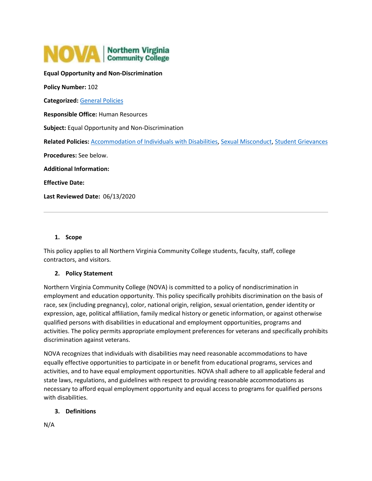

**Equal Opportunity and Non-Discrimination Policy Number:** 102 **Categorized:** [General Policies](https://www.nvcc.edu/policies/Default.aspx?cat=General%20Policies) **Responsible Office:** Human Resources **Subject:** Equal Opportunity and Non-Discrimination **Related Policies:** [Accommodation of Individuals with Disabilities,](https://www.nvcc.edu/policies/policies.aspx?num=103) [Sexual Misconduct,](https://www.nvcc.edu/policies/policies.aspx?num=110) [Student Grievances](https://www.nvcc.edu/policies/policies.aspx?num=608) **Procedures:** See below. **Additional Information: Effective Date: Last Reviewed Date:** 06/13/2020

### **1. Scope**

This policy applies to all Northern Virginia Community College students, faculty, staff, college contractors, and visitors.

# **2. Policy Statement**

Northern Virginia Community College (NOVA) is committed to a policy of nondiscrimination in employment and education opportunity. This policy specifically prohibits discrimination on the basis of race, sex (including pregnancy), color, national origin, religion, sexual orientation, gender identity or expression, age, political affiliation, family medical history or genetic information, or against otherwise qualified persons with disabilities in educational and employment opportunities, programs and activities. The policy permits appropriate employment preferences for veterans and specifically prohibits discrimination against veterans.

NOVA recognizes that individuals with disabilities may need reasonable accommodations to have equally effective opportunities to participate in or benefit from educational programs, services and activities, and to have equal employment opportunities. NOVA shall adhere to all applicable federal and state laws, regulations, and guidelines with respect to providing reasonable accommodations as necessary to afford equal employment opportunity and equal access to programs for qualified persons with disabilities.

# **3. Definitions**

N/A